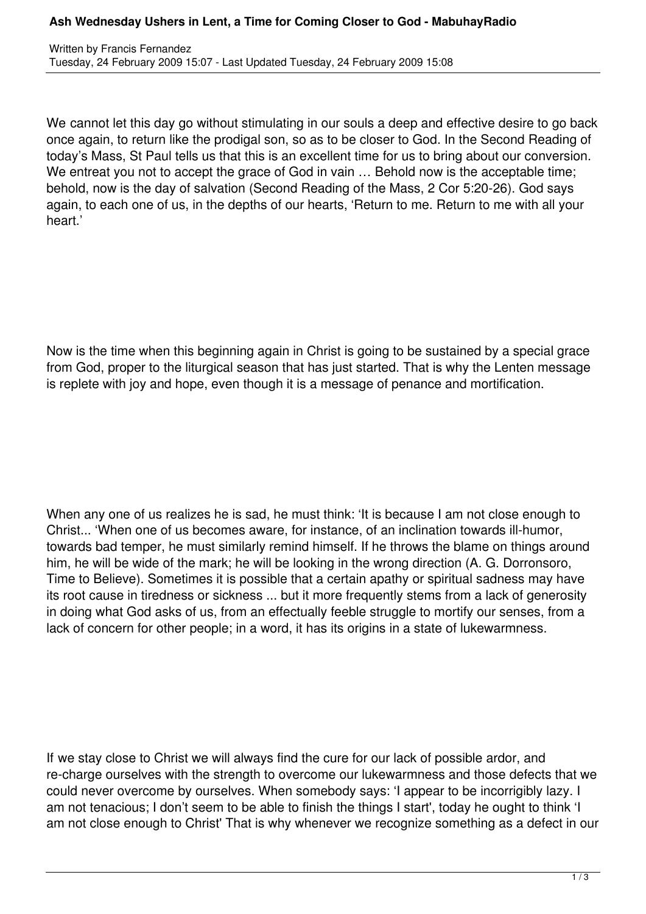## **Ash Wednesday Ushers in Lent, a Time for Coming Closer to God - MabuhayRadio**

We cannot let this day go without stimulating in our souls a deep and effective desire to go back once again, to return like the prodigal son, so as to be closer to God. In the Second Reading of today's Mass, St Paul tells us that this is an excellent time for us to bring about our conversion. We entreat you not to accept the grace of God in vain ... Behold now is the acceptable time; behold, now is the day of salvation (Second Reading of the Mass, 2 Cor 5:20-26). God says again, to each one of us, in the depths of our hearts, 'Return to me. Return to me with all your heart.'

Now is the time when this beginning again in Christ is going to be sustained by a special grace from God, proper to the liturgical season that has just started. That is why the Lenten message is replete with joy and hope, even though it is a message of penance and mortification.

When any one of us realizes he is sad, he must think: 'It is because I am not close enough to Christ... 'When one of us becomes aware, for instance, of an inclination towards ill-humor, towards bad temper, he must similarly remind himself. If he throws the blame on things around him, he will be wide of the mark; he will be looking in the wrong direction (A. G. Dorronsoro, Time to Believe). Sometimes it is possible that a certain apathy or spiritual sadness may have its root cause in tiredness or sickness ... but it more frequently stems from a lack of generosity in doing what God asks of us, from an effectually feeble struggle to mortify our senses, from a lack of concern for other people; in a word, it has its origins in a state of lukewarmness.

If we stay close to Christ we will always find the cure for our lack of possible ardor, and re-charge ourselves with the strength to overcome our lukewarmness and those defects that we could never overcome by ourselves. When somebody says: 'I appear to be incorrigibly lazy. I am not tenacious; I don't seem to be able to finish the things I start', today he ought to think 'I am not close enough to Christ' That is why whenever we recognize something as a defect in our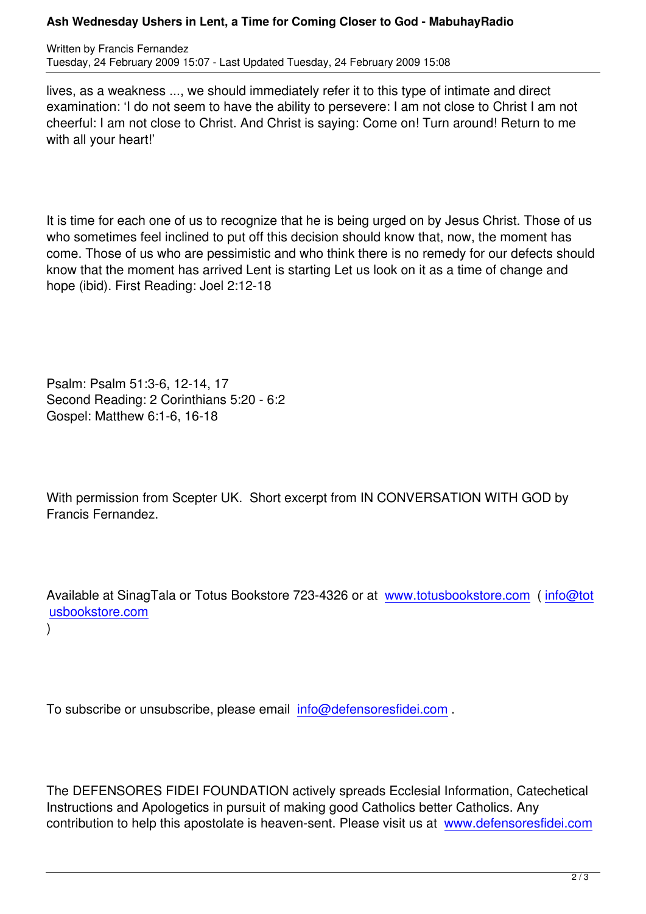lives, as a weakness ..., we should immediately refer it to this type of intimate and direct examination: 'I do not seem to have the ability to persevere: I am not close to Christ I am not cheerful: I am not close to Christ. And Christ is saying: Come on! Turn around! Return to me with all your heart!'

It is time for each one of us to recognize that he is being urged on by Jesus Christ. Those of us who sometimes feel inclined to put off this decision should know that, now, the moment has come. Those of us who are pessimistic and who think there is no remedy for our defects should know that the moment has arrived Lent is starting Let us look on it as a time of change and hope (ibid). First Reading: Joel 2:12-18

Psalm: Psalm 51:3-6, 12-14, 17 Second Reading: 2 Corinthians 5:20 - 6:2 Gospel: Matthew 6:1-6, 16-18

With permission from Scepter UK. Short excerpt from IN CONVERSATION WITH GOD by Francis Fernandez.

Available at SinagTala or Totus Bookstore 723-4326 or at www.totusbookstore.com (info@tot usbookstore.com

)

To subscribe or unsubscribe, please email info@defensoresfidei.com .

The DEFENSORES FIDEI FOUNDATION actively spreads Ecclesial Information, Catechetical Instructions and Apologetics in pursuit of making good Catholics better Catholics. Any contribution to help this apostolate is heaven-sent. Please visit us at www.defensoresfidei.com